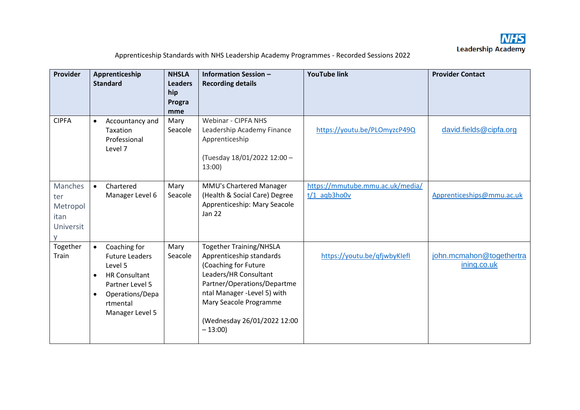

| Provider                                               | Apprenticeship<br><b>Standard</b>                                                                                                                                                    | <b>NHSLA</b><br><b>Leaders</b><br>hip<br>Progra<br>mme | <b>Information Session -</b><br><b>Recording details</b>                                                                                                                                                                                       | <b>YouTube link</b>                                | <b>Provider Contact</b>                 |
|--------------------------------------------------------|--------------------------------------------------------------------------------------------------------------------------------------------------------------------------------------|--------------------------------------------------------|------------------------------------------------------------------------------------------------------------------------------------------------------------------------------------------------------------------------------------------------|----------------------------------------------------|-----------------------------------------|
| <b>CIPFA</b>                                           | Accountancy and<br>$\bullet$<br>Taxation<br>Professional<br>Level 7                                                                                                                  | Mary<br>Seacole                                        | <b>Webinar - CIPFA NHS</b><br>Leadership Academy Finance<br>Apprenticeship<br>(Tuesday 18/01/2022 12:00 -<br>13:00                                                                                                                             | https://youtu.be/PLOmyzcP49Q                       | david.fields@cipfa.org                  |
| <b>Manches</b><br>ter<br>Metropol<br>itan<br>Universit | Chartered<br>$\bullet$<br>Manager Level 6                                                                                                                                            | Mary<br>Seacole                                        | MMU's Chartered Manager<br>(Health & Social Care) Degree<br>Apprenticeship: Mary Seacole<br><b>Jan 22</b>                                                                                                                                      | https://mmutube.mmu.ac.uk/media/<br>$t/1$ aqb3ho0v | Apprenticeships@mmu.ac.uk               |
| Together<br>Train                                      | Coaching for<br>$\bullet$<br><b>Future Leaders</b><br>Level 5<br><b>HR Consultant</b><br>$\bullet$<br>Partner Level 5<br>Operations/Depa<br>$\bullet$<br>rtmental<br>Manager Level 5 | Mary<br>Seacole                                        | <b>Together Training/NHSLA</b><br>Apprenticeship standards<br>(Coaching for Future<br>Leaders/HR Consultant<br>Partner/Operations/Departme<br>ntal Manager -Level 5) with<br>Mary Seacole Programme<br>(Wednesday 26/01/2022 12:00<br>$-13:00$ | https://youtu.be/qfjwbyKlefl                       | john.mcmahon@togethertra<br>ining.co.uk |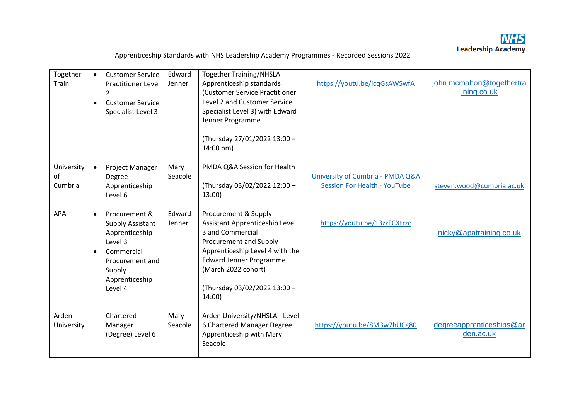

| Together<br>Train           | $\bullet$<br>$\bullet$ | <b>Customer Service</b><br><b>Practitioner Level</b><br>2<br><b>Customer Service</b><br>Specialist Level 3                                    | Edward<br>Jenner | <b>Together Training/NHSLA</b><br>Apprenticeship standards<br>(Customer Service Practitioner<br>Level 2 and Customer Service<br>Specialist Level 3) with Edward<br>Jenner Programme<br>(Thursday 27/01/2022 13:00 -<br>14:00 pm)          | https://youtu.be/icqGsAWSwfA                                                       | john.mcmahon@togethertra<br>ining.co.uk |
|-----------------------------|------------------------|-----------------------------------------------------------------------------------------------------------------------------------------------|------------------|-------------------------------------------------------------------------------------------------------------------------------------------------------------------------------------------------------------------------------------------|------------------------------------------------------------------------------------|-----------------------------------------|
| University<br>of<br>Cumbria | $\bullet$              | Project Manager<br>Degree<br>Apprenticeship<br>Level 6                                                                                        | Mary<br>Seacole  | PMDA Q&A Session for Health<br>(Thursday 03/02/2022 12:00 -<br>13:00                                                                                                                                                                      | <b>University of Cumbria - PMDA Q&amp;A</b><br><b>Session For Health - YouTube</b> | steven.wood@cumbria.ac.uk               |
| <b>APA</b>                  | $\bullet$              | Procurement &<br><b>Supply Assistant</b><br>Apprenticeship<br>Level 3<br>Commercial<br>Procurement and<br>Supply<br>Apprenticeship<br>Level 4 | Edward<br>Jenner | Procurement & Supply<br>Assistant Apprenticeship Level<br>3 and Commercial<br>Procurement and Supply<br>Apprenticeship Level 4 with the<br><b>Edward Jenner Programme</b><br>(March 2022 cohort)<br>(Thursday 03/02/2022 13:00 -<br>14:00 | https://youtu.be/13zzFCXtrzc                                                       | nicky@apatraining.co.uk                 |
| Arden<br>University         |                        | Chartered<br>Manager<br>(Degree) Level 6                                                                                                      | Mary<br>Seacole  | Arden University/NHSLA - Level<br>6 Chartered Manager Degree<br>Apprenticeship with Mary<br>Seacole                                                                                                                                       | https://youtu.be/8M3w7hUCg80                                                       | degreeapprenticeships@ar<br>den.ac.uk   |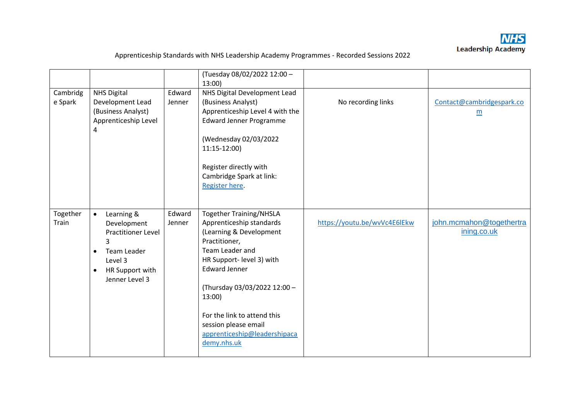

|                     |                                                                                                                                                                                |                  | (Tuesday 08/02/2022 12:00 -<br>13:00                                                                                                                                                                                                                                                                                          |                              |                                         |
|---------------------|--------------------------------------------------------------------------------------------------------------------------------------------------------------------------------|------------------|-------------------------------------------------------------------------------------------------------------------------------------------------------------------------------------------------------------------------------------------------------------------------------------------------------------------------------|------------------------------|-----------------------------------------|
| Cambridg<br>e Spark | <b>NHS Digital</b><br>Development Lead<br>(Business Analyst)<br>Apprenticeship Level<br>4                                                                                      | Edward<br>Jenner | NHS Digital Development Lead<br>(Business Analyst)<br>Apprenticeship Level 4 with the<br><b>Edward Jenner Programme</b><br>(Wednesday 02/03/2022<br>11:15-12:00)<br>Register directly with<br>Cambridge Spark at link:<br>Register here.                                                                                      | No recording links           | Contact@cambridgespark.co<br>m          |
| Together<br>Train   | Learning &<br>$\bullet$<br>Development<br><b>Practitioner Level</b><br>$\overline{3}$<br>Team Leader<br>$\bullet$<br>Level 3<br>HR Support with<br>$\bullet$<br>Jenner Level 3 | Edward<br>Jenner | <b>Together Training/NHSLA</b><br>Apprenticeship standards<br>(Learning & Development<br>Practitioner,<br>Team Leader and<br>HR Support- level 3) with<br><b>Edward Jenner</b><br>(Thursday 03/03/2022 12:00 -<br>13:00<br>For the link to attend this<br>session please email<br>apprenticeship@leadershipaca<br>demy.nhs.uk | https://youtu.be/wvVc4E6lEkw | john.mcmahon@togethertra<br>ining.co.uk |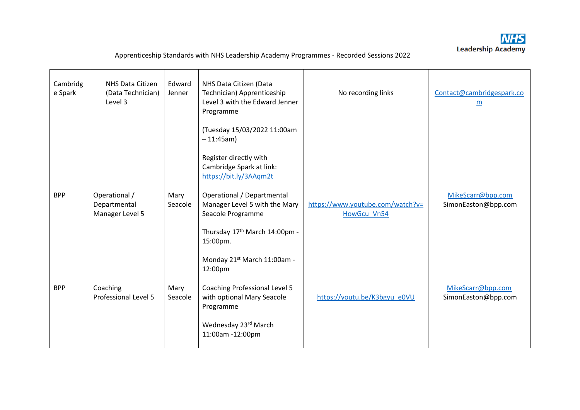

| Cambridg<br>e Spark | NHS Data Citizen<br>(Data Technician)<br>Level 3 | Edward<br>Jenner | NHS Data Citizen (Data<br>Technician) Apprenticeship<br>Level 3 with the Edward Jenner<br>Programme                                                                     | No recording links                              | Contact@cambridgespark.co<br>m           |
|---------------------|--------------------------------------------------|------------------|-------------------------------------------------------------------------------------------------------------------------------------------------------------------------|-------------------------------------------------|------------------------------------------|
|                     |                                                  |                  | (Tuesday 15/03/2022 11:00am<br>$-11:45am)$                                                                                                                              |                                                 |                                          |
|                     |                                                  |                  | Register directly with<br>Cambridge Spark at link:<br>https://bit.ly/3AAqm2t                                                                                            |                                                 |                                          |
| <b>BPP</b>          | Operational /<br>Departmental<br>Manager Level 5 | Mary<br>Seacole  | Operational / Departmental<br>Manager Level 5 with the Mary<br>Seacole Programme<br>Thursday 17th March 14:00pm -<br>15:00pm.<br>Monday 21st March 11:00am -<br>12:00pm | https://www.youtube.com/watch?v=<br>HowGcu Vn54 | MikeScarr@bpp.com<br>SimonEaston@bpp.com |
| <b>BPP</b>          | Coaching<br>Professional Level 5                 | Mary<br>Seacole  | <b>Coaching Professional Level 5</b><br>with optional Mary Seacole<br>Programme<br>Wednesday 23rd March<br>11:00am -12:00pm                                             | https://youtu.be/K3bgyu_e0VU                    | MikeScarr@bpp.com<br>SimonEaston@bpp.com |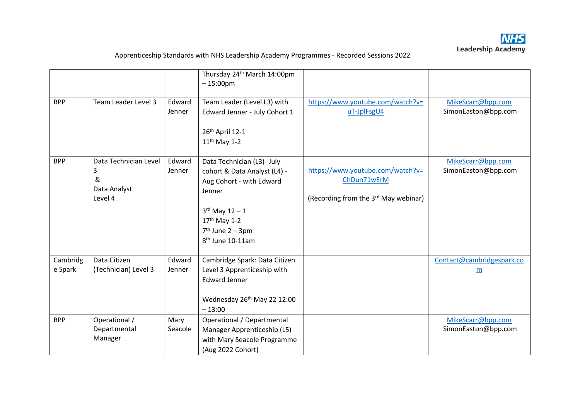

|                     |                                                            |                  | Thursday 24th March 14:00pm<br>$-15:00 \text{pm}$                                                                                                                                                           |                                                                                                     |                                          |
|---------------------|------------------------------------------------------------|------------------|-------------------------------------------------------------------------------------------------------------------------------------------------------------------------------------------------------------|-----------------------------------------------------------------------------------------------------|------------------------------------------|
| <b>BPP</b>          | Team Leader Level 3                                        | Edward<br>Jenner | Team Leader (Level L3) with<br>Edward Jenner - July Cohort 1<br>26th April 12-1<br>$11th$ May 1-2                                                                                                           | https://www.youtube.com/watch?v=<br>uT-JplFsgU4                                                     | MikeScarr@bpp.com<br>SimonEaston@bpp.com |
| <b>BPP</b>          | Data Technician Level<br>3<br>&<br>Data Analyst<br>Level 4 | Edward<br>Jenner | Data Technician (L3) -July<br>cohort & Data Analyst (L4) -<br>Aug Cohort - with Edward<br>Jenner<br>$3^{rd}$ May $12 - 1$<br>17 <sup>th</sup> May 1-2<br>$7th$ June 2 – 3pm<br>8 <sup>th</sup> June 10-11am | https://www.youtube.com/watch?v=<br>ChDun71wErM<br>(Recording from the 3 <sup>rd</sup> May webinar) | MikeScarr@bpp.com<br>SimonEaston@bpp.com |
| Cambridg<br>e Spark | Data Citizen<br>(Technician) Level 3                       | Edward<br>Jenner | Cambridge Spark: Data Citizen<br>Level 3 Apprenticeship with<br><b>Edward Jenner</b><br>Wednesday 26th May 22 12:00<br>$-13:00$                                                                             |                                                                                                     | Contact@cambridgespark.co<br>m           |
| <b>BPP</b>          | Operational /<br>Departmental<br>Manager                   | Mary<br>Seacole  | Operational / Departmental<br>Manager Apprenticeship (L5)<br>with Mary Seacole Programme<br>(Aug 2022 Cohort)                                                                                               |                                                                                                     | MikeScarr@bpp.com<br>SimonEaston@bpp.com |